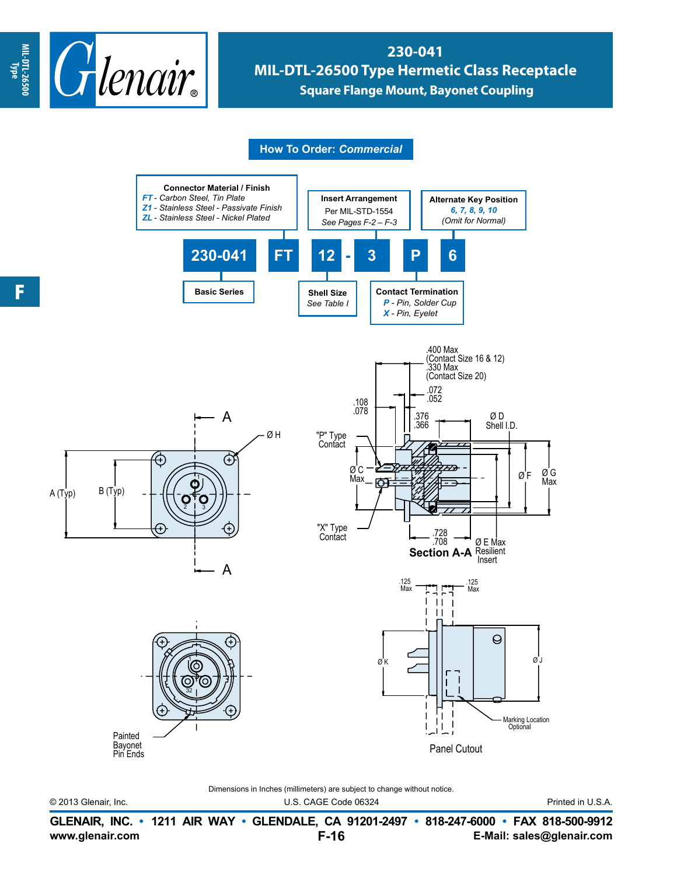

## **230-041 MIL-DTL-26500 Type Hermetic Class Receptacle Square Flange Mount, Bayonet Coupling**

**How To Order:** *Commercial*



Dimensions in Inches (millimeters) are subject to change without notice.

© 2013 Glenair, Inc. U.S. CAGE Code 06324 Printed in U.S.A.

**www.glenair.com E-Mail: sales@glenair.com GLENAIR, INC. • 1211 AIR WAY • GLENDALE, CA 91201-2497 • 818-247-6000 • FAX 818-500-9912 F-16**